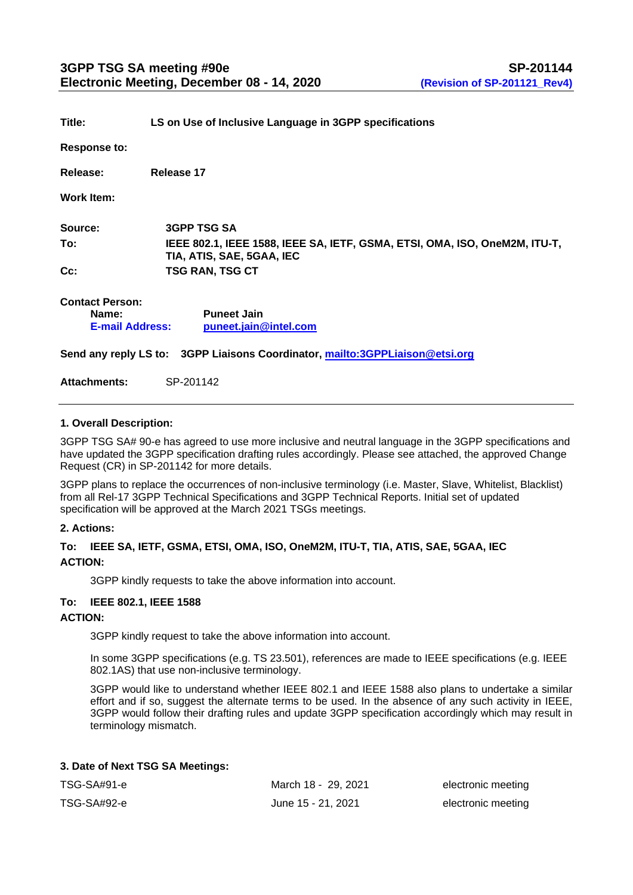| Title:                                                                       | LS on Use of Inclusive Language in 3GPP specifications                                                  |  |  |  |
|------------------------------------------------------------------------------|---------------------------------------------------------------------------------------------------------|--|--|--|
| <b>Response to:</b>                                                          |                                                                                                         |  |  |  |
| Release:                                                                     | Release 17                                                                                              |  |  |  |
| Work Item:                                                                   |                                                                                                         |  |  |  |
| Source:                                                                      | <b>3GPP TSG SA</b>                                                                                      |  |  |  |
| To:                                                                          | IEEE 802.1, IEEE 1588, IEEE SA, IETF, GSMA, ETSI, OMA, ISO, OneM2M, ITU-T,<br>TIA, ATIS, SAE, 5GAA, IEC |  |  |  |
| Cc:                                                                          | <b>TSG RAN, TSG CT</b>                                                                                  |  |  |  |
| <b>Contact Person:</b><br>Name:<br><b>E-mail Address:</b>                    | <b>Puneet Jain</b><br>puneet.jain@intel.com                                                             |  |  |  |
| Send any reply LS to: 3GPP Liaisons Coordinator, mailto:3GPPLiaison@etsi.org |                                                                                                         |  |  |  |
| <b>Attachments:</b>                                                          | SP-201142                                                                                               |  |  |  |

## **1. Overall Description:**

3GPP TSG SA# 90-e has agreed to use more inclusive and neutral language in the 3GPP specifications and have updated the 3GPP specification drafting rules accordingly. Please see attached, the approved Change Request (CR) in SP-201142 for more details.

3GPP plans to replace the occurrences of non-inclusive terminology (i.e. Master, Slave, Whitelist, Blacklist) from all Rel-17 3GPP Technical Specifications and 3GPP Technical Reports. Initial set of updated specification will be approved at the March 2021 TSGs meetings.

#### **2. Actions:**

## **To: IEEE SA, IETF, GSMA, ETSI, OMA, ISO, OneM2M, ITU-T, TIA, ATIS, SAE, 5GAA, IEC ACTION:**

3GPP kindly requests to take the above information into account.

#### **To: IEEE 802.1, IEEE 1588**

#### **ACTION:**

3GPP kindly request to take the above information into account.

In some 3GPP specifications (e.g. TS 23.501), references are made to IEEE specifications (e.g. IEEE 802.1AS) that use non-inclusive terminology.

3GPP would like to understand whether IEEE 802.1 and IEEE 1588 also plans to undertake a similar effort and if so, suggest the alternate terms to be used. In the absence of any such activity in IEEE, 3GPP would follow their drafting rules and update 3GPP specification accordingly which may result in terminology mismatch.

## **3. Date of Next TSG SA Meetings:**

| TSG-SA#91-e | March 18 - 29, 2021 | electronic meeting |
|-------------|---------------------|--------------------|
| TSG-SA#92-e | June 15 - 21, 2021  | electronic meeting |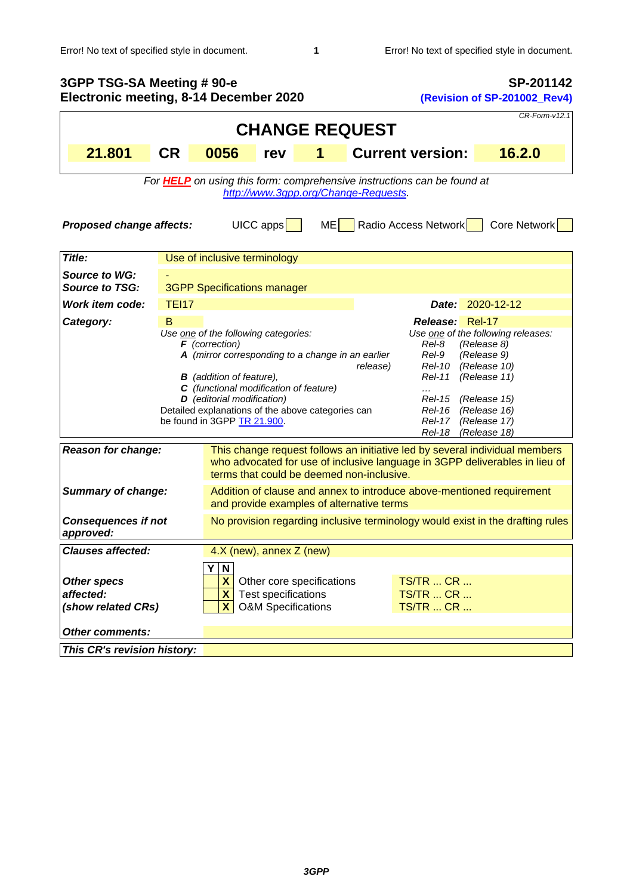| 3GPP TSG-SA Meeting # 90-e<br>Electronic meeting, 8-14 December 2020                                                                                                                                                                                                                                                                                                                                                                                                                                                                                                                                                                        |                                                                                |                                                                                                                    |                                                                                   |                                                                                                                                                                                                         | SP-201142<br>(Revision of SP-201002_Rev4) |                                                             |                  |
|---------------------------------------------------------------------------------------------------------------------------------------------------------------------------------------------------------------------------------------------------------------------------------------------------------------------------------------------------------------------------------------------------------------------------------------------------------------------------------------------------------------------------------------------------------------------------------------------------------------------------------------------|--------------------------------------------------------------------------------|--------------------------------------------------------------------------------------------------------------------|-----------------------------------------------------------------------------------|---------------------------------------------------------------------------------------------------------------------------------------------------------------------------------------------------------|-------------------------------------------|-------------------------------------------------------------|------------------|
| CR-Form-v12.1                                                                                                                                                                                                                                                                                                                                                                                                                                                                                                                                                                                                                               |                                                                                |                                                                                                                    |                                                                                   |                                                                                                                                                                                                         |                                           |                                                             |                  |
| <b>CHANGE REQUEST</b>                                                                                                                                                                                                                                                                                                                                                                                                                                                                                                                                                                                                                       |                                                                                |                                                                                                                    |                                                                                   |                                                                                                                                                                                                         |                                           |                                                             |                  |
| 21.801                                                                                                                                                                                                                                                                                                                                                                                                                                                                                                                                                                                                                                      | <b>CR</b>                                                                      | 0056                                                                                                               | rev                                                                               | 1                                                                                                                                                                                                       |                                           | <b>Current version:</b>                                     | 16.2.0           |
| For <b>HELP</b> on using this form: comprehensive instructions can be found at<br>http://www.3gpp.org/Change-Requests.<br>$UICC$ apps<br>Radio Access Network<br>Core Network<br>ME<br><b>Proposed change affects:</b>                                                                                                                                                                                                                                                                                                                                                                                                                      |                                                                                |                                                                                                                    |                                                                                   |                                                                                                                                                                                                         |                                           |                                                             |                  |
| Title:                                                                                                                                                                                                                                                                                                                                                                                                                                                                                                                                                                                                                                      |                                                                                | Use of inclusive terminology                                                                                       |                                                                                   |                                                                                                                                                                                                         |                                           |                                                             |                  |
| Source to WG:<br>Source to TSG:                                                                                                                                                                                                                                                                                                                                                                                                                                                                                                                                                                                                             |                                                                                | <b>3GPP Specifications manager</b>                                                                                 |                                                                                   |                                                                                                                                                                                                         |                                           |                                                             |                  |
| <b>Work item code:</b>                                                                                                                                                                                                                                                                                                                                                                                                                                                                                                                                                                                                                      | <b>TEI17</b>                                                                   |                                                                                                                    |                                                                                   |                                                                                                                                                                                                         |                                           |                                                             | Date: 2020-12-12 |
| Release: Rel-17<br>Category:<br>B<br>Use one of the following categories:<br>Use one of the following releases:<br>$F$ (correction)<br>Rel-8<br>(Release 8)<br>A (mirror corresponding to a change in an earlier<br>(Release 9)<br>Rel-9<br>release)<br><b>Rel-10</b><br>(Release 10)<br><b>B</b> (addition of feature),<br><b>Rel-11</b><br>(Release 11)<br>C (functional modification of feature)<br>D (editorial modification)<br>(Release 15)<br>Rel-15<br>Detailed explanations of the above categories can<br><b>Rel-16</b><br>(Release 16)<br>be found in 3GPP TR 21.900.<br>(Release 17)<br>Rel-17<br>(Release 18)<br><b>Rel-18</b> |                                                                                |                                                                                                                    |                                                                                   |                                                                                                                                                                                                         |                                           |                                                             |                  |
| <b>Reason for change:</b>                                                                                                                                                                                                                                                                                                                                                                                                                                                                                                                                                                                                                   |                                                                                |                                                                                                                    |                                                                                   | This change request follows an initiative led by several individual members<br>who advocated for use of inclusive language in 3GPP deliverables in lieu of<br>terms that could be deemed non-inclusive. |                                           |                                                             |                  |
| <b>Summary of change:</b>                                                                                                                                                                                                                                                                                                                                                                                                                                                                                                                                                                                                                   |                                                                                | Addition of clause and annex to introduce above-mentioned requirement<br>and provide examples of alternative terms |                                                                                   |                                                                                                                                                                                                         |                                           |                                                             |                  |
| <b>Consequences if not</b><br>approved:                                                                                                                                                                                                                                                                                                                                                                                                                                                                                                                                                                                                     | No provision regarding inclusive terminology would exist in the drafting rules |                                                                                                                    |                                                                                   |                                                                                                                                                                                                         |                                           |                                                             |                  |
| <b>Clauses affected:</b>                                                                                                                                                                                                                                                                                                                                                                                                                                                                                                                                                                                                                    |                                                                                | Y<br>N                                                                                                             | 4.X (new), annex Z (new)                                                          |                                                                                                                                                                                                         |                                           |                                                             |                  |
| <b>Other specs</b><br>affected:<br>(show related CRs)                                                                                                                                                                                                                                                                                                                                                                                                                                                                                                                                                                                       |                                                                                | X<br>$\mathbf{x}$<br>$\mathbf{X}$                                                                                  | Other core specifications<br>Test specifications<br><b>O&amp;M Specifications</b> |                                                                                                                                                                                                         |                                           | <b>TS/TR  CR </b><br><b>TS/TR  CR </b><br><b>TS/TR  CR </b> |                  |
| Other comments:                                                                                                                                                                                                                                                                                                                                                                                                                                                                                                                                                                                                                             |                                                                                |                                                                                                                    |                                                                                   |                                                                                                                                                                                                         |                                           |                                                             |                  |
| This CR's revision history:                                                                                                                                                                                                                                                                                                                                                                                                                                                                                                                                                                                                                 |                                                                                |                                                                                                                    |                                                                                   |                                                                                                                                                                                                         |                                           |                                                             |                  |
|                                                                                                                                                                                                                                                                                                                                                                                                                                                                                                                                                                                                                                             |                                                                                |                                                                                                                    |                                                                                   |                                                                                                                                                                                                         |                                           |                                                             |                  |